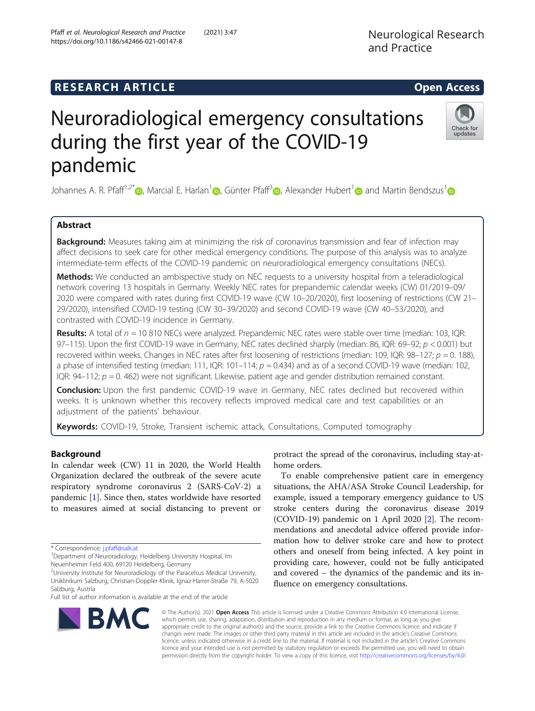# **RESEARCH ARTICLE Example 2014 12:30 The SEAR CH ACCESS**

https://doi.org/10.1186/s42466-021-00147-8

# Neuroradiological emergency consultations during the first year of the COVID-19 pandemic

Johannes A. R. Pfaff<sup>1[,](https://orcid.org/0000-0002-2029-8049)2\*</sup> <sub>(b</sub>, Marcial E. Harlan<sup>[1](https://orcid.org/0000-0002-9094-6769)</sup> (b), Günter Pfaff<sup>3</sup> (b), Alexander Hubert<sup>1</sup> (b) and Martin Bendszus<sup>1</sup> (b)

# Abstract

Background: Measures taking aim at minimizing the risk of coronavirus transmission and fear of infection may affect decisions to seek care for other medical emergency conditions. The purpose of this analysis was to analyze intermediate-term effects of the COVID-19 pandemic on neuroradiological emergency consultations (NECs).

Methods: We conducted an ambispective study on NEC requests to a university hospital from a teleradiological network covering 13 hospitals in Germany. Weekly NEC rates for prepandemic calendar weeks (CW) 01/2019–09/ 2020 were compared with rates during first COVID-19 wave (CW 10–20/2020), first loosening of restrictions (CW 21– 29/2020), intensified COVID-19 testing (CW 30–39/2020) and second COVID-19 wave (CW 40–53/2020), and contrasted with COVID-19 incidence in Germany.

Results: A total of  $n = 10810$  NECs were analyzed. Prepandemic NEC rates were stable over time (median: 103, IQR: 97–115). Upon the first COVID-19 wave in Germany, NEC rates declined sharply (median: 86, IQR: 69–92; p < 0.001) but recovered within weeks. Changes in NEC rates after first loosening of restrictions (median: 109, IQR:  $98-127$ ;  $p = 0.188$ ), a phase of intensified testing (median: 111, IQR: 101–114;  $p = 0.434$ ) and as of a second COVID-19 wave (median: 102, IQR: 94–112;  $p = 0.462$ ) were not significant. Likewise, patient age and gender distribution remained constant.

**Conclusion:** Upon the first pandemic COVID-19 wave in Germany, NEC rates declined but recovered within weeks. It is unknown whether this recovery reflects improved medical care and test capabilities or an adjustment of the patients' behaviour.

Keywords: COVID-19, Stroke, Transient ischemic attack, Consultations, Computed tomography

# Background

In calendar week (CW) 11 in 2020, the World Health Organization declared the outbreak of the severe acute respiratory syndrome coronavirus 2 (SARS-CoV-2) a pandemic [[1\]](#page-5-0). Since then, states worldwide have resorted to measures aimed at social distancing to prevent or

Neuenheimer Feld 400, 69120 Heidelberg, Germany

**BMC** 

Full list of author information is available at the end of the article

protract the spread of the coronavirus, including stay-athome orders.

To enable comprehensive patient care in emergency situations, the AHA/ASA Stroke Council Leadership, for example, issued a temporary emergency guidance to US stroke centers during the coronavirus disease 2019 (COVID-19) pandemic on 1 April 2020 [[2\]](#page-5-0). The recommendations and anecdotal advice offered provide information how to deliver stroke care and how to protect others and oneself from being infected. A key point in providing care, however, could not be fully anticipated and covered – the dynamics of the pandemic and its influence on emergency consultations.

© The Author(s). 2021 Open Access This article is licensed under a Creative Commons Attribution 4.0 International License, which permits use, sharing, adaptation, distribution and reproduction in any medium or format, as long as you give appropriate credit to the original author(s) and the source, provide a link to the Creative Commons licence, and indicate if changes were made. The images or other third party material in this article are included in the article's Creative Commons licence, unless indicated otherwise in a credit line to the material. If material is not included in the article's Creative Commons licence and your intended use is not permitted by statutory regulation or exceeds the permitted use, you will need to obtain permission directly from the copyright holder. To view a copy of this licence, visit [http://creativecommons.org/licenses/by/4.0/.](http://creativecommons.org/licenses/by/4.0/)







<sup>\*</sup> Correspondence: [j.pfaff@salk.at](mailto:j.pfaff@salk.at) <sup>1</sup>

<sup>&</sup>lt;sup>1</sup> Department of Neuroradiology, Heidelberg University Hospital, Im

<sup>&</sup>lt;sup>2</sup>University Institute for Neuroradiology of the Paracelsus Medical University, Uniklinikum Salzburg, Christian-Doppler-Klinik, Ignaz-Harrer-Straße 79, A-5020 Salzburg, Austria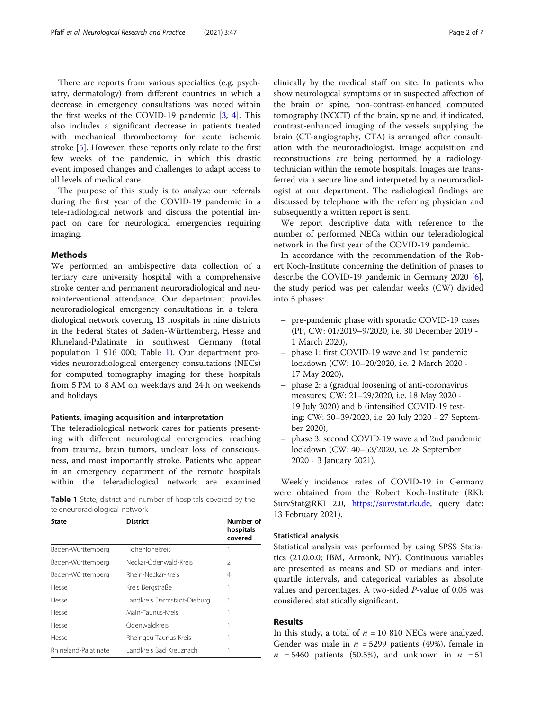There are reports from various specialties (e.g. psychiatry, dermatology) from different countries in which a decrease in emergency consultations was noted within the first weeks of the COVID-19 pandemic [[3,](#page-5-0) [4\]](#page-5-0). This also includes a significant decrease in patients treated with mechanical thrombectomy for acute ischemic stroke [\[5](#page-5-0)]. However, these reports only relate to the first few weeks of the pandemic, in which this drastic event imposed changes and challenges to adapt access to all levels of medical care.

The purpose of this study is to analyze our referrals during the first year of the COVID-19 pandemic in a tele-radiological network and discuss the potential impact on care for neurological emergencies requiring imaging.

# Methods

We performed an ambispective data collection of a tertiary care university hospital with a comprehensive stroke center and permanent neuroradiological and neurointerventional attendance. Our department provides neuroradiological emergency consultations in a teleradiological network covering 13 hospitals in nine districts in the Federal States of Baden-Württemberg, Hesse and Rhineland-Palatinate in southwest Germany (total population 1 916 000; Table 1). Our department provides neuroradiological emergency consultations (NECs) for computed tomography imaging for these hospitals from 5 PM to 8 AM on weekdays and 24 h on weekends and holidays.

# Patients, imaging acquisition and interpretation

The teleradiological network cares for patients presenting with different neurological emergencies, reaching from trauma, brain tumors, unclear loss of consciousness, and most importantly stroke. Patients who appear in an emergency department of the remote hospitals within the teleradiological network are examined

|                               |  |  | <b>Table 1</b> State, district and number of hospitals covered by the |  |  |
|-------------------------------|--|--|-----------------------------------------------------------------------|--|--|
| teleneuroradiological network |  |  |                                                                       |  |  |

| State                | <b>District</b>             | Number of<br>hospitals<br>covered |
|----------------------|-----------------------------|-----------------------------------|
| Baden-Württemberg    | Hohenlohekreis              |                                   |
| Baden-Württemberg    | Neckar-Odenwald-Kreis       | 2                                 |
| Baden-Württemberg    | Rhein-Neckar-Kreis          | 4                                 |
| Hesse                | Kreis Bergstraße            |                                   |
| Hesse                | Landkreis Darmstadt-Dieburg |                                   |
| Hesse                | Main-Taunus-Kreis           |                                   |
| Hesse                | Odenwaldkreis               |                                   |
| Hesse                | Rheingau-Taunus-Kreis       |                                   |
| Rhineland-Palatinate | Landkreis Bad Kreuznach     |                                   |

clinically by the medical staff on site. In patients who show neurological symptoms or in suspected affection of the brain or spine, non-contrast-enhanced computed tomography (NCCT) of the brain, spine and, if indicated, contrast-enhanced imaging of the vessels supplying the brain (CT-angiography, CTA) is arranged after consultation with the neuroradiologist. Image acquisition and reconstructions are being performed by a radiologytechnician within the remote hospitals. Images are transferred via a secure line and interpreted by a neuroradiologist at our department. The radiological findings are discussed by telephone with the referring physician and subsequently a written report is sent.

We report descriptive data with reference to the number of performed NECs within our teleradiological network in the first year of the COVID-19 pandemic.

In accordance with the recommendation of the Robert Koch-Institute concerning the definition of phases to describe the COVID-19 pandemic in Germany 2020 [\[6](#page-5-0)], the study period was per calendar weeks (CW) divided into 5 phases:

- pre-pandemic phase with sporadic COVID-19 cases (PP, CW: 01/2019–9/2020, i.e. 30 December 2019 - 1 March 2020),
- phase 1: first COVID-19 wave and 1st pandemic lockdown (CW: 10–20/2020, i.e. 2 March 2020 - 17 May 2020),
- phase 2: a (gradual loosening of anti-coronavirus measures; CW: 21–29/2020, i.e. 18 May 2020 - 19 July 2020) and b (intensified COVID-19 testing; CW: 30–39/2020, i.e. 20 July 2020 - 27 September 2020),
- phase 3: second COVID-19 wave and 2nd pandemic lockdown (CW: 40–53/2020, i.e. 28 September 2020 - 3 January 2021).

Weekly incidence rates of COVID-19 in Germany were obtained from the Robert Koch-Institute (RKI: SurvStat@RKI 2.0, [https://survstat.rki.de,](https://survstat.rki.de) query date: 13 February 2021).

# Statistical analysis

Statistical analysis was performed by using SPSS Statistics (21.0.0.0; IBM, Armonk, NY). Continuous variables are presented as means and SD or medians and interquartile intervals, and categorical variables as absolute values and percentages. A two-sided P-value of 0.05 was considered statistically significant.

# Results

In this study, a total of  $n = 10 810$  NECs were analyzed. Gender was male in  $n = 5299$  patients (49%), female in  $n = 5460$  patients (50.5%), and unknown in  $n = 51$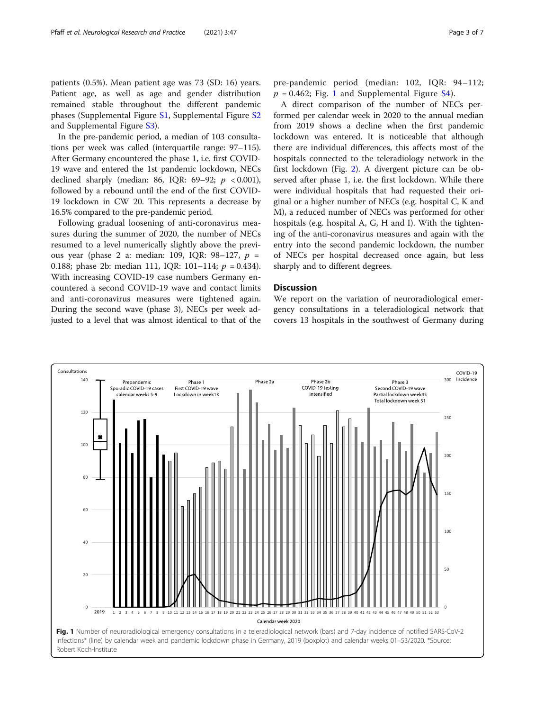patients (0.5%). Mean patient age was 73 (SD: 16) years. Patient age, as well as age and gender distribution remained stable throughout the different pandemic phases (Supplemental Figure [S1,](#page-5-0) Supplemental Figure [S2](#page-5-0) and Supplemental Figure [S3](#page-5-0)).

In the pre-pandemic period, a median of 103 consultations per week was called (interquartile range: 97–115). After Germany encountered the phase 1, i.e. first COVID-19 wave and entered the 1st pandemic lockdown, NECs declined sharply (median: 86, IQR: 69-92;  $p < 0.001$ ), followed by a rebound until the end of the first COVID-19 lockdown in CW 20. This represents a decrease by 16.5% compared to the pre-pandemic period.

Following gradual loosening of anti-coronavirus measures during the summer of 2020, the number of NECs resumed to a level numerically slightly above the previous year (phase 2 a: median: 109, IQR:  $98-127$ ,  $p =$ 0.188; phase 2b: median 111, IQR: 101-114;  $p = 0.434$ ). With increasing COVID-19 case numbers Germany encountered a second COVID-19 wave and contact limits and anti-coronavirus measures were tightened again. During the second wave (phase 3), NECs per week adjusted to a level that was almost identical to that of the pre-pandemic period (median: 102, IQR: 94–112;  $p = 0.462$ ; Fig. 1 and Supplemental Figure [S4\)](#page-5-0).

A direct comparison of the number of NECs performed per calendar week in 2020 to the annual median from 2019 shows a decline when the first pandemic lockdown was entered. It is noticeable that although there are individual differences, this affects most of the hospitals connected to the teleradiology network in the first lockdown (Fig. [2\)](#page-3-0). A divergent picture can be observed after phase 1, i.e. the first lockdown. While there were individual hospitals that had requested their original or a higher number of NECs (e.g. hospital C, K and M), a reduced number of NECs was performed for other hospitals (e.g. hospital A, G, H and I). With the tightening of the anti-coronavirus measures and again with the entry into the second pandemic lockdown, the number of NECs per hospital decreased once again, but less sharply and to different degrees.

# **Discussion**

We report on the variation of neuroradiological emergency consultations in a teleradiological network that covers 13 hospitals in the southwest of Germany during

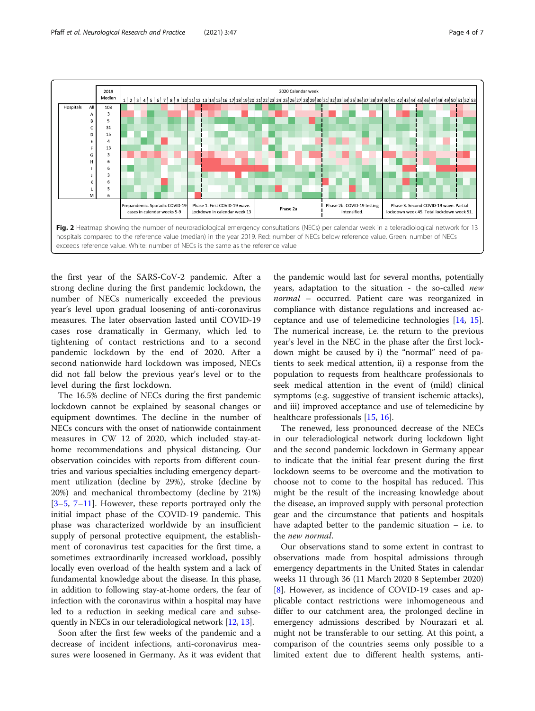<span id="page-3-0"></span>

the first year of the SARS-CoV-2 pandemic. After a strong decline during the first pandemic lockdown, the number of NECs numerically exceeded the previous year's level upon gradual loosening of anti-coronavirus measures. The later observation lasted until COVID-19 cases rose dramatically in Germany, which led to tightening of contact restrictions and to a second pandemic lockdown by the end of 2020. After a second nationwide hard lockdown was imposed, NECs did not fall below the previous year's level or to the level during the first lockdown.

The 16.5% decline of NECs during the first pandemic lockdown cannot be explained by seasonal changes or equipment downtimes. The decline in the number of NECs concurs with the onset of nationwide containment measures in CW 12 of 2020, which included stay-athome recommendations and physical distancing. Our observation coincides with reports from different countries and various specialties including emergency department utilization (decline by 29%), stroke (decline by 20%) and mechanical thrombectomy (decline by 21%)  $[3-5, 7-11]$  $[3-5, 7-11]$  $[3-5, 7-11]$  $[3-5, 7-11]$  $[3-5, 7-11]$  $[3-5, 7-11]$  $[3-5, 7-11]$  $[3-5, 7-11]$ . However, these reports portrayed only the initial impact phase of the COVID-19 pandemic. This phase was characterized worldwide by an insufficient supply of personal protective equipment, the establishment of coronavirus test capacities for the first time, a sometimes extraordinarily increased workload, possibly locally even overload of the health system and a lack of fundamental knowledge about the disease. In this phase, in addition to following stay-at-home orders, the fear of infection with the coronavirus within a hospital may have led to a reduction in seeking medical care and subsequently in NECs in our teleradiological network [[12,](#page-5-0) [13\]](#page-5-0).

Soon after the first few weeks of the pandemic and a decrease of incident infections, anti-coronavirus measures were loosened in Germany. As it was evident that

the pandemic would last for several months, potentially years, adaptation to the situation - the so-called new normal – occurred. Patient care was reorganized in compliance with distance regulations and increased acceptance and use of telemedicine technologies [\[14](#page-5-0), [15](#page-5-0)]. The numerical increase, i.e. the return to the previous year's level in the NEC in the phase after the first lockdown might be caused by i) the "normal" need of patients to seek medical attention, ii) a response from the population to requests from healthcare professionals to seek medical attention in the event of (mild) clinical symptoms (e.g. suggestive of transient ischemic attacks), and iii) improved acceptance and use of telemedicine by healthcare professionals [\[15](#page-5-0), [16](#page-5-0)].

The renewed, less pronounced decrease of the NECs in our teleradiological network during lockdown light and the second pandemic lockdown in Germany appear to indicate that the initial fear present during the first lockdown seems to be overcome and the motivation to choose not to come to the hospital has reduced. This might be the result of the increasing knowledge about the disease, an improved supply with personal protection gear and the circumstance that patients and hospitals have adapted better to the pandemic situation – i.e. to the new normal.

Our observations stand to some extent in contrast to observations made from hospital admissions through emergency departments in the United States in calendar weeks 11 through 36 (11 March 2020 8 September 2020) [[8\]](#page-5-0). However, as incidence of COVID-19 cases and applicable contact restrictions were inhomogeneous and differ to our catchment area, the prolonged decline in emergency admissions described by Nourazari et al. might not be transferable to our setting. At this point, a comparison of the countries seems only possible to a limited extent due to different health systems, anti-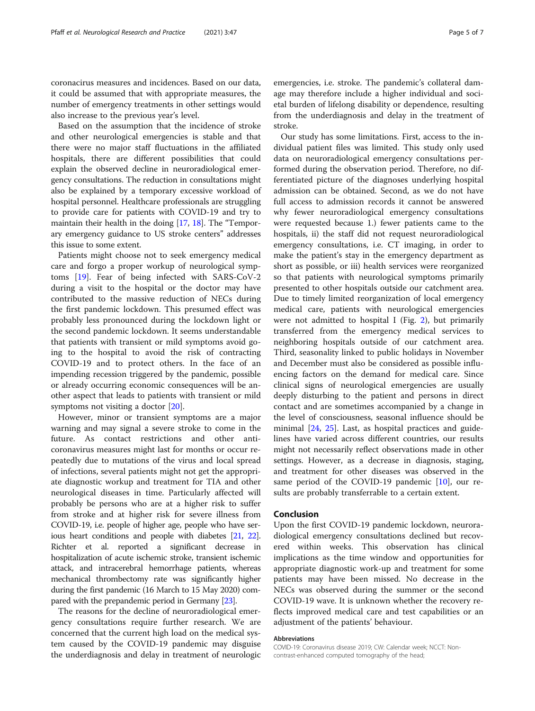coronacirus measures and incidences. Based on our data, it could be assumed that with appropriate measures, the number of emergency treatments in other settings would also increase to the previous year's level.

Based on the assumption that the incidence of stroke and other neurological emergencies is stable and that there were no major staff fluctuations in the affiliated hospitals, there are different possibilities that could explain the observed decline in neuroradiological emergency consultations. The reduction in consultations might also be explained by a temporary excessive workload of hospital personnel. Healthcare professionals are struggling to provide care for patients with COVID-19 and try to maintain their health in the doing [\[17](#page-5-0), [18\]](#page-6-0). The "Temporary emergency guidance to US stroke centers" addresses this issue to some extent.

Patients might choose not to seek emergency medical care and forgo a proper workup of neurological symptoms [\[19](#page-6-0)]. Fear of being infected with SARS-CoV-2 during a visit to the hospital or the doctor may have contributed to the massive reduction of NECs during the first pandemic lockdown. This presumed effect was probably less pronounced during the lockdown light or the second pandemic lockdown. It seems understandable that patients with transient or mild symptoms avoid going to the hospital to avoid the risk of contracting COVID-19 and to protect others. In the face of an impending recession triggered by the pandemic, possible or already occurring economic consequences will be another aspect that leads to patients with transient or mild symptoms not visiting a doctor [\[20](#page-6-0)].

However, minor or transient symptoms are a major warning and may signal a severe stroke to come in the future. As contact restrictions and other anticoronavirus measures might last for months or occur repeatedly due to mutations of the virus and local spread of infections, several patients might not get the appropriate diagnostic workup and treatment for TIA and other neurological diseases in time. Particularly affected will probably be persons who are at a higher risk to suffer from stroke and at higher risk for severe illness from COVID-19, i.e. people of higher age, people who have serious heart conditions and people with diabetes [[21](#page-6-0), [22](#page-6-0)]. Richter et al. reported a significant decrease in hospitalization of acute ischemic stroke, transient ischemic attack, and intracerebral hemorrhage patients, whereas mechanical thrombectomy rate was significantly higher during the first pandemic (16 March to 15 May 2020) compared with the prepandemic period in Germany [[23](#page-6-0)].

The reasons for the decline of neuroradiological emergency consultations require further research. We are concerned that the current high load on the medical system caused by the COVID-19 pandemic may disguise the underdiagnosis and delay in treatment of neurologic emergencies, i.e. stroke. The pandemic's collateral damage may therefore include a higher individual and societal burden of lifelong disability or dependence, resulting from the underdiagnosis and delay in the treatment of stroke.

Our study has some limitations. First, access to the individual patient files was limited. This study only used data on neuroradiological emergency consultations performed during the observation period. Therefore, no differentiated picture of the diagnoses underlying hospital admission can be obtained. Second, as we do not have full access to admission records it cannot be answered why fewer neuroradiological emergency consultations were requested because 1.) fewer patients came to the hospitals, ii) the staff did not request neuroradiological emergency consultations, i.e. CT imaging, in order to make the patient's stay in the emergency department as short as possible, or iii) health services were reorganized so that patients with neurological symptoms primarily presented to other hospitals outside our catchment area. Due to timely limited reorganization of local emergency medical care, patients with neurological emergencies were not admitted to hospital I (Fig. [2](#page-3-0)), but primarily transferred from the emergency medical services to neighboring hospitals outside of our catchment area. Third, seasonality linked to public holidays in November and December must also be considered as possible influencing factors on the demand for medical care. Since clinical signs of neurological emergencies are usually deeply disturbing to the patient and persons in direct contact and are sometimes accompanied by a change in the level of consciousness, seasonal influence should be minimal [[24,](#page-6-0) [25\]](#page-6-0). Last, as hospital practices and guidelines have varied across different countries, our results might not necessarily reflect observations made in other settings. However, as a decrease in diagnosis, staging, and treatment for other diseases was observed in the same period of the COVID-19 pandemic [\[10](#page-5-0)], our results are probably transferrable to a certain extent.

# Conclusion

Upon the first COVID-19 pandemic lockdown, neuroradiological emergency consultations declined but recovered within weeks. This observation has clinical implications as the time window and opportunities for appropriate diagnostic work-up and treatment for some patients may have been missed. No decrease in the NECs was observed during the summer or the second COVID-19 wave. It is unknown whether the recovery reflects improved medical care and test capabilities or an adjustment of the patients' behaviour.

#### Abbreviations

COVID-19: Coronavirus disease 2019; CW: Calendar week; NCCT: Noncontrast-enhanced computed tomography of the head;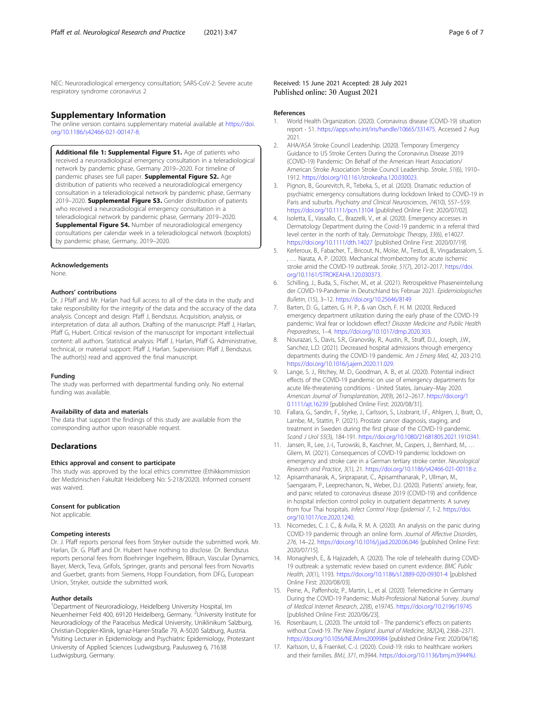<span id="page-5-0"></span>NEC: Neuroradiological emergency consultation; SARS-CoV-2: Severe acute respiratory syndrome coronavirus 2

# Supplementary Information

The online version contains supplementary material available at [https://doi.](https://doi.org/10.1186/s42466-021-00147-8) [org/10.1186/s42466-021-00147-8.](https://doi.org/10.1186/s42466-021-00147-8)

Additional file 1: Supplemental Figure S1. Age of patients who received a neuroradiological emergency consultation in a teleradiological network by pandemic phase, Germany 2019–2020. For timeline of pandemic phases see full paper. Supplemental Figure S2. Age distribution of patients who received a neuroradiological emergency consultation in a teleradiological network by pandemic phase, Germany 2019–2020. Supplemental Figure S3. Gender distribution of patients who received a neuroradiological emergency consultation in a teleradiological network by pandemic phase, Germany 2019–2020. **Supplemental Figure S4.** Number of neuroradiological emergency consultations per calendar week in a teleradiological network (boxplots) by pandemic phase, Germany, 2019–2020.

#### Acknowledgements

None.

# Authors' contributions

Dr. J Pfaff and Mr. Harlan had full access to all of the data in the study and take responsibility for the integrity of the data and the accuracy of the data analysis. Concept and design: Pfaff J, Bendszus. Acquisition, analysis, or interpretation of data: all authors. Drafting of the manuscript: Pfaff J, Harlan, Pfaff G, Hubert. Critical revision of the manuscript for important intellectual content: all authors. Statistical analysis: Pfaff J, Harlan, Pfaff G. Administrative, technical, or material support: Pfaff J, Harlan. Supervision: Pfaff J, Bendszus. The author(s) read and approved the final manuscript.

## Funding

The study was performed with departmental funding only. No external funding was available.

#### Availability of data and materials

The data that support the findings of this study are available from the corresponding author upon reasonable request.

## **Declarations**

## Ethics approval and consent to participate

This study was approved by the local ethics committee (Ethikkommission der Medizinischen Fakultät Heidelberg No: S-218/2020). Informed consent was waived.

#### Consent for publication

Not applicable.

## Competing interests

Dr. J. Pfaff reports personal fees from Stryker outside the submitted work. Mr. Harlan, Dr. G. Pfaff and Dr. Hubert have nothing to disclose. Dr. Bendszus reports personal fees from Boehringer Ingelheim, BBraun, Vascular Dynamics, Bayer, Merck, Teva, Grifols, Springer, grants and personal fees from Novartis and Guerbet, grants from Siemens, Hopp Foundation, from DFG, European Union, Stryker, outside the submitted work.

#### Author details

<sup>1</sup>Department of Neuroradiology, Heidelberg University Hospital, Im Neuenheimer Feld 400, 69120 Heidelberg, Germany. <sup>2</sup>University Institute for Neuroradiology of the Paracelsus Medical University, Uniklinikum Salzburg, Christian-Doppler-Klinik, Ignaz-Harrer-Straße 79, A-5020 Salzburg, Austria. <sup>3</sup>Visiting Lecturer in Epidemiology and Psychiatric Epidemiology, Protestant University of Applied Sciences Ludwigsburg, Paulusweg 6, 71638 Ludwigsburg, Germany.

Received: 15 June 2021 Accepted: 28 July 2021 Published online: 30 August 2021

#### References

- 1. World Health Organization. (2020). Coronavirus disease (COVID-19) situation report - 51. [https://apps.who.int/iris/handle/10665/331475.](https://apps.who.int/iris/handle/10665/331475) Accessed 2 Aug 2021.
- 2. AHA/ASA Stroke Council Leadership. (2020). Temporary Emergency Guidance to US Stroke Centers During the Coronavirus Disease 2019 (COVID-19) Pandemic: On Behalf of the American Heart Association/ American Stroke Association Stroke Council Leadership. Stroke, 51(6), 1910– 1912. <https://doi.org/10.1161/strokeaha.120.030023>.
- 3. Pignon, B., Gourevitch, R., Tebeka, S., et al. (2020). Dramatic reduction of psychiatric emergency consultations during lockdown linked to COVID-19 in Paris and suburbs. Psychiatry and Clinical Neurosciences, 74(10), 557–559. <https://doi.org/10.1111/pcn.13104> [published Online First: 2020/07/02].
- 4. Isoletta, E., Vassallo, C., Brazzelli, V., et al. (2020). Emergency accesses in Dermatology Department during the Covid-19 pandemic in a referral third level center in the north of Italy. Dermatologic Therapy, 33(6), e14027. <https://doi.org/10.1111/dth.14027> [published Online First: 2020/07/19].
- 5. Kerleroux, B., Fabacher, T., Bricout, N., Moïse, M., Testud, B., Vingadassalom, S. , … Narata, A. P. (2020). Mechanical thrombectomy for acute ischemic stroke amid the COVID-19 outbreak. Stroke, 51(7), 2012–2017. [https://doi.](https://doi.org/10.1161/STROKEAHA.120.030373) [org/10.1161/STROKEAHA.120.030373](https://doi.org/10.1161/STROKEAHA.120.030373).
- 6. Schilling, J., Buda, S., Fischer, M., et al. (2021). Retrospektive Phaseneinteilung der COVID-19-Pandemie in Deutschland bis Februar 2021. Epidemiologisches Bulletin, (15), 3–12. <https://doi.org/10.25646/8149>
- 7. Barten, D. G., Latten, G. H. P., & van Osch, F. H. M. (2020). Reduced emergency department utilization during the early phase of the COVID-19 pandemic: Viral fear or lockdown effect? Disaster Medicine and Public Health Preparedness, 1–4. <https://doi.org/10.1017/dmp.2020.303>.
- 8. Nourazari, S., Davis, S.R., Granovsky, R., Austin, R., Straff, D.J., Joseph, J.W., Sanchez, L.D. (2021). Decreased hospital admissions through emergency departments during the COVID-19 pandemic. Am J Emerg Med, 42, 203-210. [https://doi.org/10.1016/j.ajem.2020.11.029.](https://doi.org/10.1016/j.ajem.2020.11.029)
- 9. Lange, S. J., Ritchey, M. D., Goodman, A. B., et al. (2020). Potential indirect effects of the COVID-19 pandemic on use of emergency departments for acute life-threatening conditions - United States, January–May 2020. American Journal of Transplantation, 20(9), 2612–2617. [https://doi.org/1](https://doi.org/10.1111/ajt.16239) [0.1111/ajt.16239](https://doi.org/10.1111/ajt.16239) [published Online First: 2020/08/31].
- 10. Fallara, G., Sandin, F., Styrke, J., Carlsson, S., Lissbrant, I.F., Ahlgren, J., Bratt, O., Lambe, M., Stattin, P. (2021). Prostate cancer diagnosis, staging, and treatment in Sweden during the first phase of the COVID-19 pandemic. Scand J Urol 55(3), 184-191. [https://doi.org/10.1080/21681805.2021.1910341.](https://doi.org/10.1080/21681805.2021.1910341)
- 11. Jansen, R., Lee, J.-I., Turowski, B., Kaschner, M., Caspers, J., Bernhard, M., … Gliem, M. (2021). Consequences of COVID-19 pandemic lockdown on emergency and stroke care in a German tertiary stroke center. Neurological Research and Practice, 3(1), 21. <https://doi.org/10.1186/s42466-021-00118-z>.
- 12. Apisarnthanarak, A., Siripraparat, C., Apisarnthanarak, P., Ullman, M., Saengaram, P., Leeprechanon, N., Weber, D.J. (2020). Patients' anxiety, fear, and panic related to coronavirus disease 2019 (COVID-19) and confidence in hospital infection control policy in outpatient departments: A survey from four Thai hospitals. Infect Control Hosp Epidemiol 7, 1-2. [https://doi.](https://doi.org/10.1017/ice.2020.1240) [org/10.1017/ice.2020.1240.](https://doi.org/10.1017/ice.2020.1240)
- 13. Nicomedes, C. J. C., & Avila, R. M. A. (2020). An analysis on the panic during COVID-19 pandemic through an online form. Journal of Affective Disorders, 276, 14–22. <https://doi.org/10.1016/j.jad.2020.06.046> [published Online First: 2020/07/15].
- 14. Monaghesh, E., & Hajizadeh, A. (2020). The role of telehealth during COVID-19 outbreak: a systematic review based on current evidence. BMC Public Health, 20(1), 1193. <https://doi.org/10.1186/s12889-020-09301-4> [published Online First: 2020/08/03].
- 15. Peine, A., Paffenholz, P., Martin, L., et al. (2020). Telemedicine in Germany During the COVID-19 Pandemic: Multi-Professional National Survey. Journal of Medical Internet Research, 22(8), e19745. <https://doi.org/10.2196/19745> [published Online First: 2020/06/23].
- 16. Rosenbaum, L. (2020). The untold toll The pandemic's effects on patients without Covid-19. The New England Journal of Medicine, 382(24), 2368–2371. <https://doi.org/10.1056/NEJMms2009984> [published Online First: 2020/04/18].
- 17. Karlsson, U., & Fraenkel, C.-J. (2020). Covid-19: risks to healthcare workers and their families. BMJ, 371, m3944. <https://doi.org/10.1136/bmj.m3944%J>.